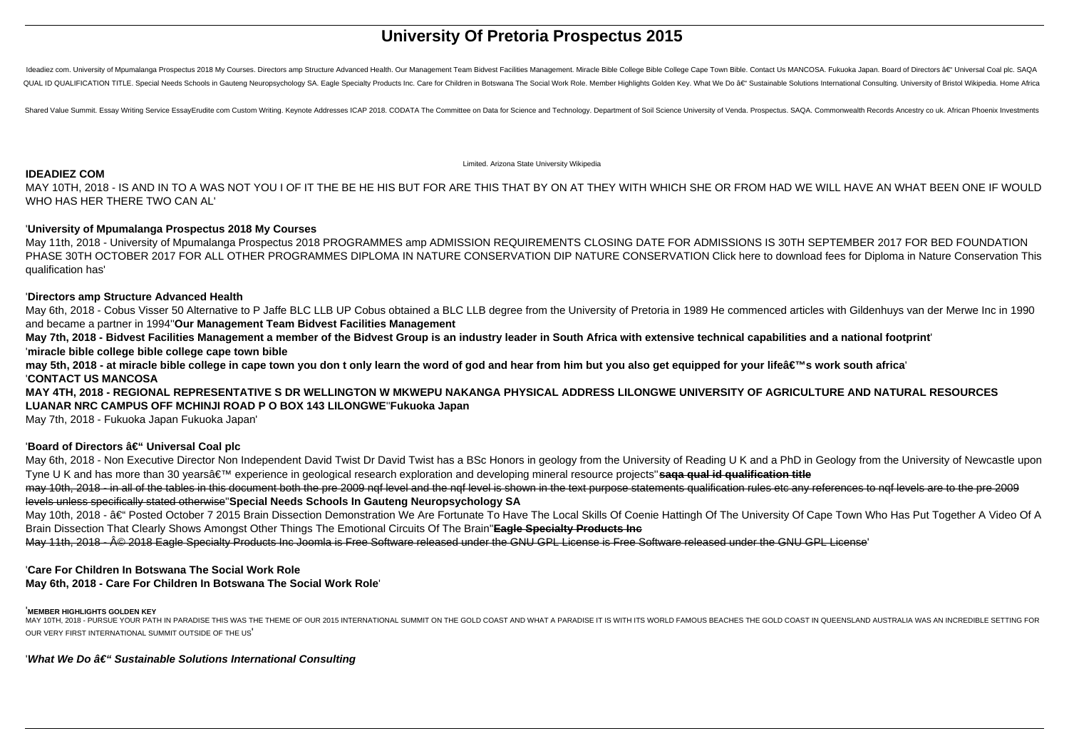# **University Of Pretoria Prospectus 2015**

Ideadiez com. University of Mpumalanga Prospectus 2018 My Courses. Directors amp Structure Advanced Health. Our Management Team Bidvest Facilities Management. Miracle Bible College Cale Town Bible. Contact Us MANCOSA. Fuk QUAL ID QUALIFICATION TITLE. Special Needs Schools in Gauteng Neuropsychology SA. Eagle Specialty Products Inc. Care for Children in Botswana The Social Work Role. Member Highlights Golden Key. What We Do â€" Sustainable

Shared Value Summit. Essay Writing Service EssayErudite com Custom Writing. Keynote Addresses ICAP 2018. CODATA The Committee on Data for Science and Technology. Department of Soil Science University of Venda. Prospectus.

Limited. Arizona State University Wikipedia

May 6th, 2018 - Cobus Visser 50 Alternative to P Jaffe BLC LLB UP Cobus obtained a BLC LLB degree from the University of Pretoria in 1989 He commenced articles with Gildenhuys van der Merwe Inc in 1990 and became a partner in 1994''**Our Management Team Bidvest Facilities Management**

### **IDEADIEZ COM**

MAY 10TH, 2018 - IS AND IN TO A WAS NOT YOU I OF IT THE BE HE HIS BUT FOR ARE THIS THAT BY ON AT THEY WITH WHICH SHE OR FROM HAD WE WILL HAVE AN WHAT BEEN ONE IF WOULD WHO HAS HER THERE TWO CAN AL'

may 5th, 2018 - at miracle bible college in cape town you don t only learn the word of god and hear from him but you also get equipped for your life's work south africa' '**CONTACT US MANCOSA**

### '**University of Mpumalanga Prospectus 2018 My Courses**

May 11th, 2018 - University of Mpumalanga Prospectus 2018 PROGRAMMES amp ADMISSION REQUIREMENTS CLOSING DATE FOR ADMISSIONS IS 30TH SEPTEMBER 2017 FOR BED FOUNDATION PHASE 30TH OCTOBER 2017 FOR ALL OTHER PROGRAMMES DIPLOMA IN NATURE CONSERVATION DIP NATURE CONSERVATION Click here to download fees for Diploma in Nature Conservation This qualification has'

### '**Directors amp Structure Advanced Health**

May 6th, 2018 - Non Executive Director Non Independent David Twist Dr David Twist has a BSc Honors in geology from the University of Reading U K and a PhD in Geology from the University of Newcastle upon Tyne U K and has more than 30 yearsâ€<sup>™</sup> experience in geological research exploration and developing mineral resource projects" saqa qual id qualification title may 10th, 2018 - in all of the tables in this document both the pre 2009 nqf level and the nqf level is shown in the text purpose statements qualification rules etc any references to nqf levels are to the pre 2009 levels unless specifically stated otherwise''**Special Needs Schools In Gauteng Neuropsychology SA**

May 10th, 2018 - †Posted October 7 2015 Brain Dissection Demonstration We Are Fortunate To Have The Local Skills Of Coenie Hattingh Of The University Of Cape Town Who Has Put Together A Video Of A Brain Dissection That Clearly Shows Amongst Other Things The Emotional Circuits Of The Brain''**Eagle Specialty Products Inc**

May 11th, 2018 - © 2018 Eagle Specialty Products Inc Joomla is Free Software released under the GNU GPL License is Free Software released under the GNU GPL License'

**May 7th, 2018 - Bidvest Facilities Management a member of the Bidvest Group is an industry leader in South Africa with extensive technical capabilities and a national footprint**' '**miracle bible college bible college cape town bible**

MAY 10TH, 2018 - PURSUE YOUR PATH IN PARADISE THIS WAS THE THEME OF OUR 2015 INTERNATIONAL SUMMIT ON THE GOLD COAST AND WHAT A PARADISE IT IS WITH ITS WORLD FAMOUS BEACHES THE GOLD COAST IN QUEENSLAND AUSTRALIA WAS AN INCR OUR VERY FIRST INTERNATIONAL SUMMIT OUTSIDE OF THE US'

# 'What We Do â€" Sustainable Solutions International Consulting

**MAY 4TH, 2018 - REGIONAL REPRESENTATIVE S DR WELLINGTON W MKWEPU NAKANGA PHYSICAL ADDRESS LILONGWE UNIVERSITY OF AGRICULTURE AND NATURAL RESOURCES LUANAR NRC CAMPUS OFF MCHINJI ROAD P O BOX 143 LILONGWE**''**Fukuoka Japan**

May 7th, 2018 - Fukuoka Japan Fukuoka Japan'

# 'Board of Directors  $\hat{a} \in$ " Universal Coal plc

# '**Care For Children In Botswana The Social Work Role**

# **May 6th, 2018 - Care For Children In Botswana The Social Work Role**'

### '**MEMBER HIGHLIGHTS GOLDEN KEY**